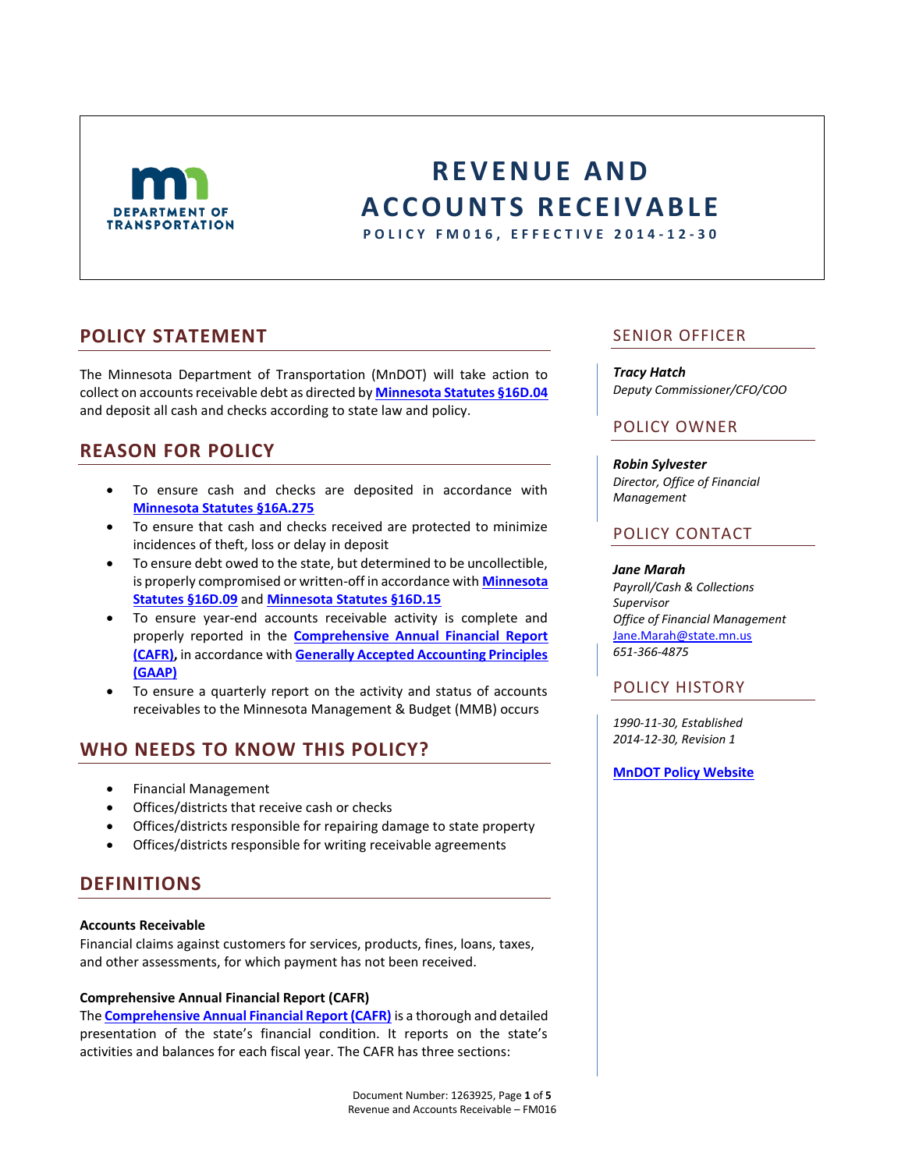

# **R E V E N U E A N D A C C O U N T S R E C E I V A B L E**

**P O L I C Y F M 0 1 6 , E F F E C T I V E 2014 - 1 2 - 3 0**

### **POLICY STATEMENT**

The Minnesota Department of Transportation (MnDOT) will take action to collect on accounts receivable debt as directed by **[Minnesota Statutes §16D.04](https://www.revisor.mn.gov/statutes/?id=16d.04)** and deposit all cash and checks according to state law and policy.

# **REASON FOR POLICY**

- To ensure cash and checks are deposited in accordance with **[Minnesota Statutes §16A.275](https://www.revisor.mn.gov/statutes/?id=16A.275)**
- To ensure that cash and checks received are protected to minimize incidences of theft, loss or delay in deposit
- To ensure debt owed to the state, but determined to be uncollectible, is properly compromised or written-off in accordance with **[Minnesota](https://www.revisor.mn.gov/statutes/?id=16D.09)  [Statutes §16D.09](https://www.revisor.mn.gov/statutes/?id=16D.09)** and **[Minnesota Statutes §16D.15](https://www.revisor.mn.gov/statutes/?id=16D.15)**
- To ensure year-end accounts receivable activity is complete and properly reported in the **[Comprehensive Annual Financial Report](http://www.ofm.wa.gov/cafr/)  [\(CAFR\),](http://www.ofm.wa.gov/cafr/)** in accordance with **[Generally Accepted Accounting Principles](http://www.ofm.wa.gov/policy/80.20.htm)  [\(GAAP\)](http://www.ofm.wa.gov/policy/80.20.htm)**
- To ensure a quarterly report on the activity and status of accounts receivables to the Minnesota Management & Budget (MMB) occurs

# **WHO NEEDS TO KNOW THIS POLICY?**

- Financial Management
- Offices/districts that receive cash or checks
- Offices/districts responsible for repairing damage to state property
- Offices/districts responsible for writing receivable agreements

### **DEFINITIONS**

#### **Accounts Receivable**

Financial claims against customers for services, products, fines, loans, taxes, and other assessments, for which payment has not been received.

#### **Comprehensive Annual Financial Report (CAFR)**

The **[Comprehensive Annual Financial Report \(CAFR\)](http://www.ofm.wa.gov/cafr/)** is a thorough and detailed presentation of the state's financial condition. It reports on the state's activities and balances for each fiscal year. The CAFR has three sections:

### SENIOR OFFICER

*Tracy Hatch Deputy Commissioner/CFO/COO*

### POLICY OWNER

*Robin Sylvester Director, Office of Financial Management*

### POLICY CONTACT

#### *Jane Marah*

*Payroll/Cash & Collections Supervisor Office of Financial Management* [Jane.Marah@state.mn.us](mailto:Jane.marah@state.mn.us) *651-366-4875*

### POLICY HISTORY

*1990-11-30, Established 2014-12-30, Revision 1*

#### **[MnDOT Policy Website](http://www.dot.state.mn.us/policy/index.html)**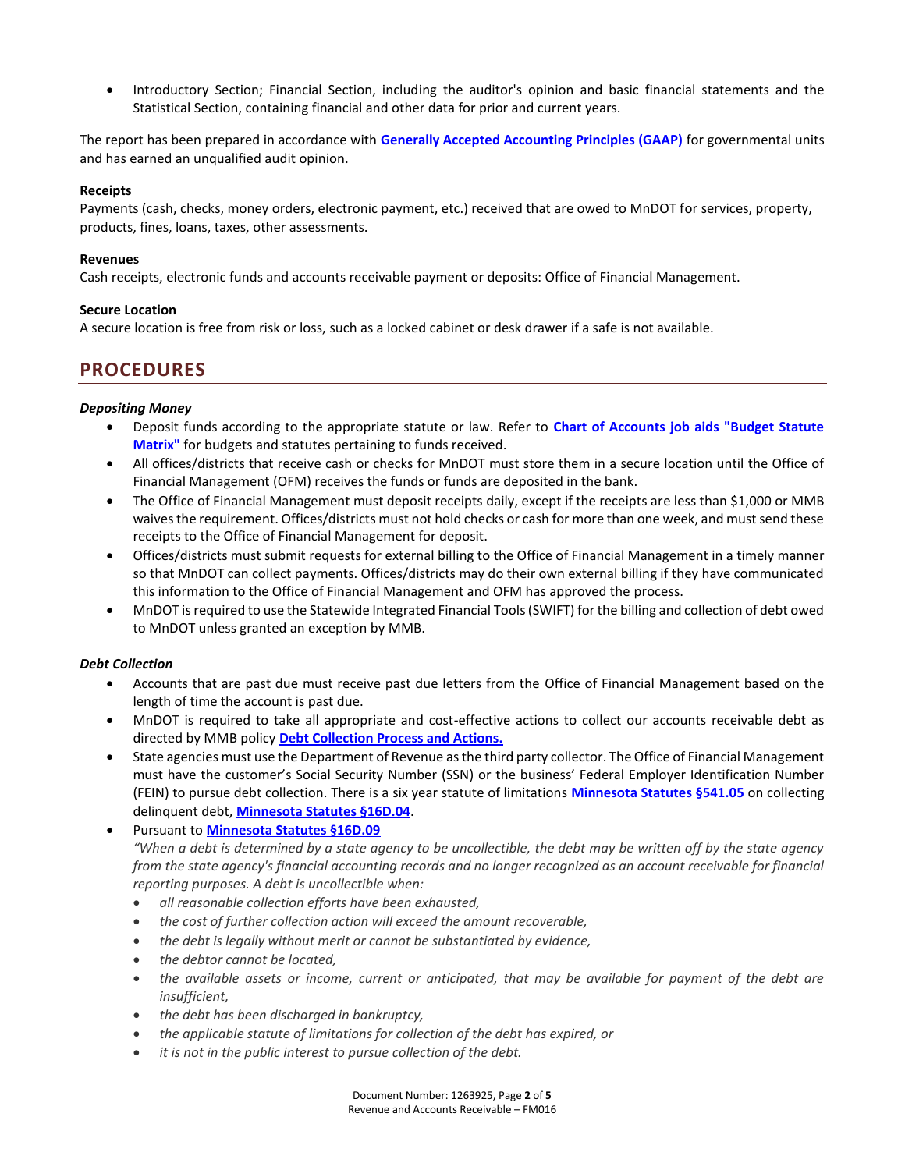Introductory Section; Financial Section, including the auditor's opinion and basic financial statements and the Statistical Section, containing financial and other data for prior and current years.

The report has been prepared in accordance with **[Generally Accepted Accounting Principles \(GAAP\)](http://www.fasab.gov/accounting-standards/authoritative-source-of-gaap/)** for governmental units and has earned an unqualified audit opinion.

#### **Receipts**

Payments (cash, checks, money orders, electronic payment, etc.) received that are owed to MnDOT for services, property, products, fines, loans, taxes, other assessments.

#### **Revenues**

Cash receipts, electronic funds and accounts receivable payment or deposits: Office of Financial Management.

#### **Secure Location**

A secure location is free from risk or loss, such as a locked cabinet or desk drawer if a safe is not available.

### **PROCEDURES**

#### *Depositing Money*

- Deposit funds according to the appropriate statute or law. Refer to **[Chart of Accounts job aids "Budget Statute](http://ihub/financialmanagement/financial-ops/cash-and-collections/budget-statute-hyperlink-matrix.xlsx)  [Matrix"](http://ihub/financialmanagement/financial-ops/cash-and-collections/budget-statute-hyperlink-matrix.xlsx)** for budgets and statutes pertaining to funds received.
- All offices/districts that receive cash or checks for MnDOT must store them in a secure location until the Office of Financial Management (OFM) receives the funds or funds are deposited in the bank.
- The Office of Financial Management must deposit receipts daily, except if the receipts are less than \$1,000 or MMB waives the requirement. Offices/districts must not hold checks or cash for more than one week, and must send these receipts to the Office of Financial Management for deposit.
- Offices/districts must submit requests for external billing to the Office of Financial Management in a timely manner so that MnDOT can collect payments. Offices/districts may do their own external billing if they have communicated this information to the Office of Financial Management and OFM has approved the process.
- MnDOT is required to use the Statewide Integrated Financial Tools (SWIFT) for the billing and collection of debt owed to MnDOT unless granted an exception by MMB.

#### *Debt Collection*

- Accounts that are past due must receive past due letters from the Office of Financial Management based on the length of time the account is past due.
- MnDOT is required to take all appropriate and cost-effective actions to collect our accounts receivable debt as directed by MMB policy **[Debt Collection Process and Actions.](http://www.beta.mmb.state.mn.us/doc/statewide-financial/ch5/0504-01.pdf)**
- State agencies must use the Department of Revenue as the third party collector. The Office of Financial Management must have the customer's Social Security Number (SSN) or the business' Federal Employer Identification Number (FEIN) to pursue debt collection. There is a six year statute of limitations **[Minnesota Statutes §541.05](https://www.revisor.mn.gov/statutes/?id=541.05)** on collecting delinquent debt, **[Minnesota Statutes §16D.04](https://www.revisor.mn.gov/statutes/?id=16D.04)**.
- Pursuant to **[Minnesota Statutes §16D.09](https://www.revisor.mn.gov/statutes/?id=16D.09)** *"When a debt is determined by a state agency to be uncollectible, the debt may be written off by the state agency from the state agency's financial accounting records and no longer recognized as an account receivable for financial reporting purposes. A debt is uncollectible when:* 
	- *all reasonable collection efforts have been exhausted,*
	- *the cost of further collection action will exceed the amount recoverable,*
	- *the debt is legally without merit or cannot be substantiated by evidence,*
	- *the debtor cannot be located,*
	- *the available assets or income, current or anticipated, that may be available for payment of the debt are insufficient,*
	- *the debt has been discharged in bankruptcy,*
	- *the applicable statute of limitations for collection of the debt has expired, or*
	- *it is not in the public interest to pursue collection of the debt.*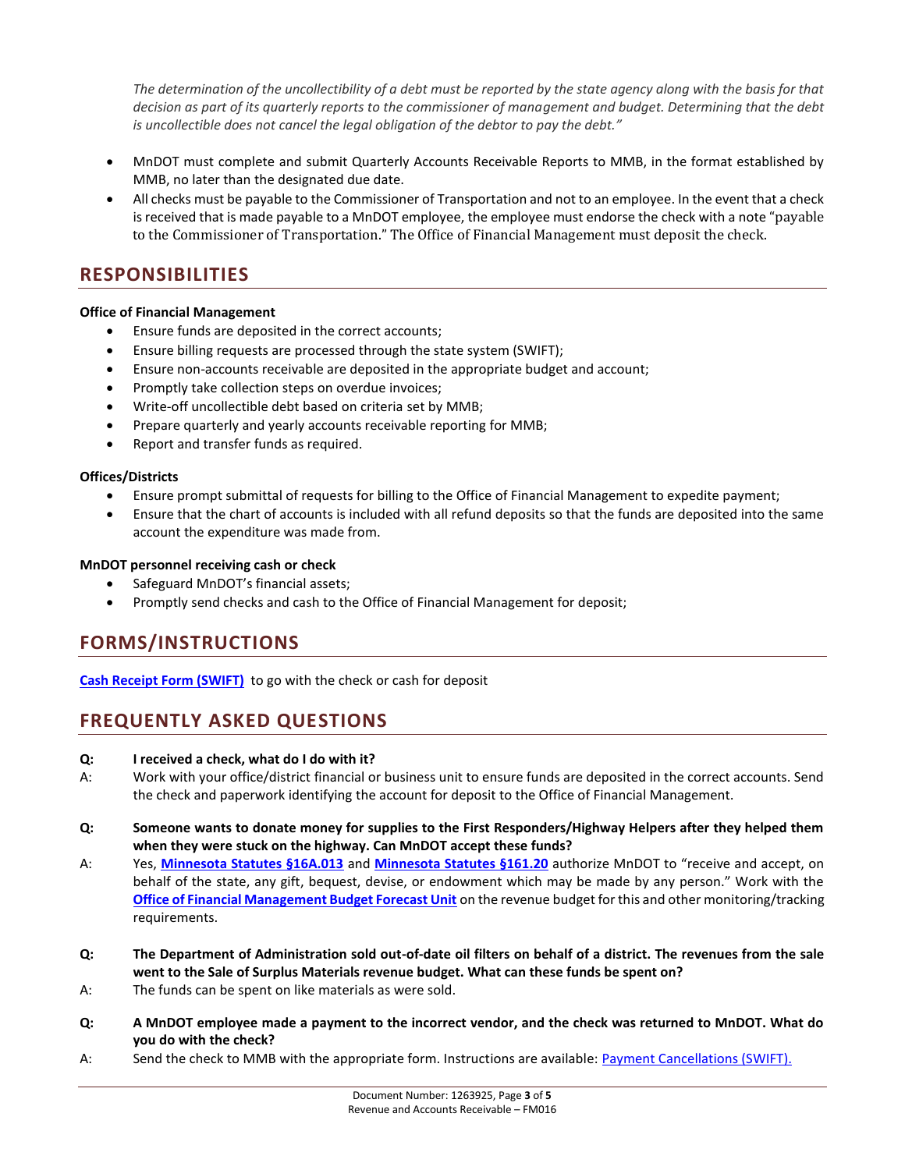*The determination of the uncollectibility of a debt must be reported by the state agency along with the basis for that decision as part of its quarterly reports to the commissioner of management and budget. Determining that the debt is uncollectible does not cancel the legal obligation of the debtor to pay the debt."*

- MnDOT must complete and submit Quarterly Accounts Receivable Reports to MMB, in the format established by MMB, no later than the designated due date.
- All checks must be payable to the Commissioner of Transportation and not to an employee. In the event that a check is received that is made payable to a MnDOT employee, the employee must endorse the check with a note "payable to the Commissioner of Transportation." The Office of Financial Management must deposit the check.

## **RESPONSIBILITIES**

#### **Office of Financial Management**

- Ensure funds are deposited in the correct accounts;
- Ensure billing requests are processed through the state system (SWIFT);
- Ensure non-accounts receivable are deposited in the appropriate budget and account;
- Promptly take collection steps on overdue invoices;
- Write-off uncollectible debt based on criteria set by MMB;
- Prepare quarterly and yearly accounts receivable reporting for MMB;
- Report and transfer funds as required.

#### **Offices/Districts**

- Ensure prompt submittal of requests for billing to the Office of Financial Management to expedite payment;
- Ensure that the chart of accounts is included with all refund deposits so that the funds are deposited into the same account the expenditure was made from.

#### **MnDOT personnel receiving cash or check**

- Safeguard MnDOT's financial assets;
- Promptly send checks and cash to the Office of Financial Management for deposit;

# **FORMS/INSTRUCTIONS**

**[Cash Receipt Form \(SWIFT\)](http://ihub/financialmanagement/financial-ops/cash-and-collections/cash-receipt-form-swift.xlsx)** to go with the check or cash for deposit

# **FREQUENTLY ASKED QUESTIONS**

#### **Q: I received a check, what do I do with it?**

- A: Work with your office/district financial or business unit to ensure funds are deposited in the correct accounts. Send the check and paperwork identifying the account for deposit to the Office of Financial Management.
- **Q: Someone wants to donate money for supplies to the First Responders/Highway Helpers after they helped them when they were stuck on the highway. Can MnDOT accept these funds?**
- A: Yes, **[Minnesota Statutes §16A.013](https://www.revisor.mn.gov/statutes/?id=16a.013)** and **[Minnesota Statutes §161.20](https://www.revisor.mn.gov/statutes/?id=161.20)** authorize MnDOT to "receive and accept, on behalf of the state, any gift, bequest, devise, or endowment which may be made by any person." Work with the **[Office of Financial Management Budget Forecast Unit](http://ihub/financialmanagement/budget/budgetforecastunit.html)** on the revenue budget for this and other monitoring/tracking requirements.
- **Q: The Department of Administration sold out-of-date oil filters on behalf of a district. The revenues from the sale went to the Sale of Surplus Materials revenue budget. What can these funds be spent on?**
- A: The funds can be spent on like materials as were sold.
- **Q: A MnDOT employee made a payment to the incorrect vendor, and the check was returned to MnDOT. What do you do with the check?**
- A: Send the check to MMB with the appropriate form. Instructions are available: **Payment Cancellations (SWIFT).**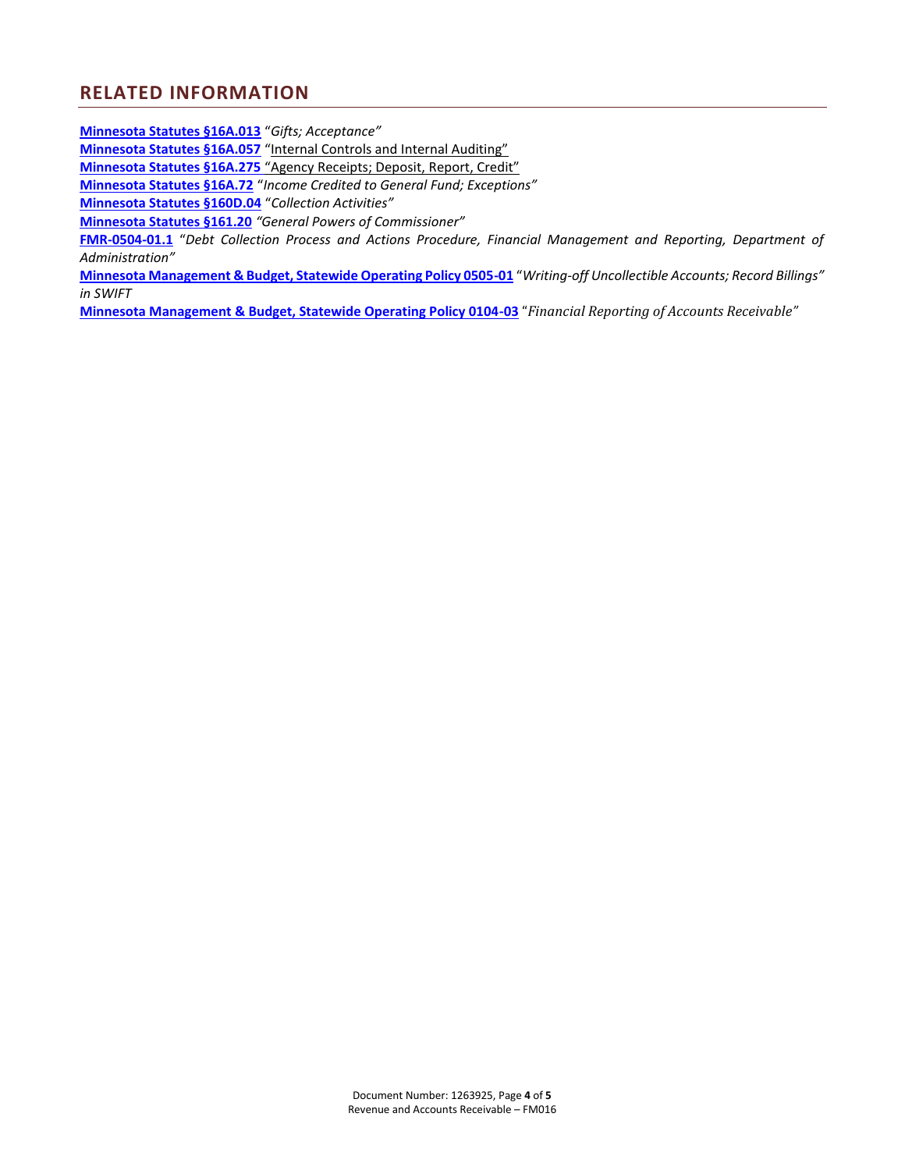### **RELATED INFORMATION**

**[Minnesota Statutes §16A.013](https://www.revisor.mn.gov/statutes/?id=16a.013)** "*Gifts; Acceptance"*

**[Minnesota Statutes §16A.057](https://www.revisor.mn.gov/statutes/?id=16A.057)** "Internal Controls and Internal Auditing"

**[Minnesota Statutes §16A.275](https://www.revisor.mn.gov/statutes/?id=16A.275)** "Agency Receipts; Deposit, Report, Credit"

**[Minnesota Statutes §16A.72](https://www.revisor.mn.gov/statutes/?id=16A.72)** "*Income Credited to General Fund; Exceptions"*

**[Minnesota Statutes §160D.04](https://www.revisor.mn.gov/statutes/?id=16D.04)** "*Collection Activities"*

**[Minnesota Statutes §161.20](https://www.revisor.mn.gov/statutes/?id=161.20)** *"General Powers of Commissioner"*

**[FMR-0504-01.1](http://mn.gov/admin/images/FMR-0504-01%252E1%2520Debt%2520Collection%2520Process%2520and%2520Actions%2520Procedure.pdf)** "*Debt Collection Process and Actions Procedure, Financial Management and Reporting, Department of Administration"*

**[Minnesota Management & Budget, Statewide Operating Policy 0505-01](http://www.beta.mmb.state.mn.us/doc/statewide-financial/ch5/0505-01.pdf)** "*Writing-off Uncollectible Accounts; Record Billings" in SWIFT*

**[Minnesota Management & Budget, Statewide Operating Policy 0104-03](http://www.beta.mmb.state.mn.us/doc/statewide-financial/ch1/0104-03.pdf)** "*Financial Reporting of Accounts Receivable"*